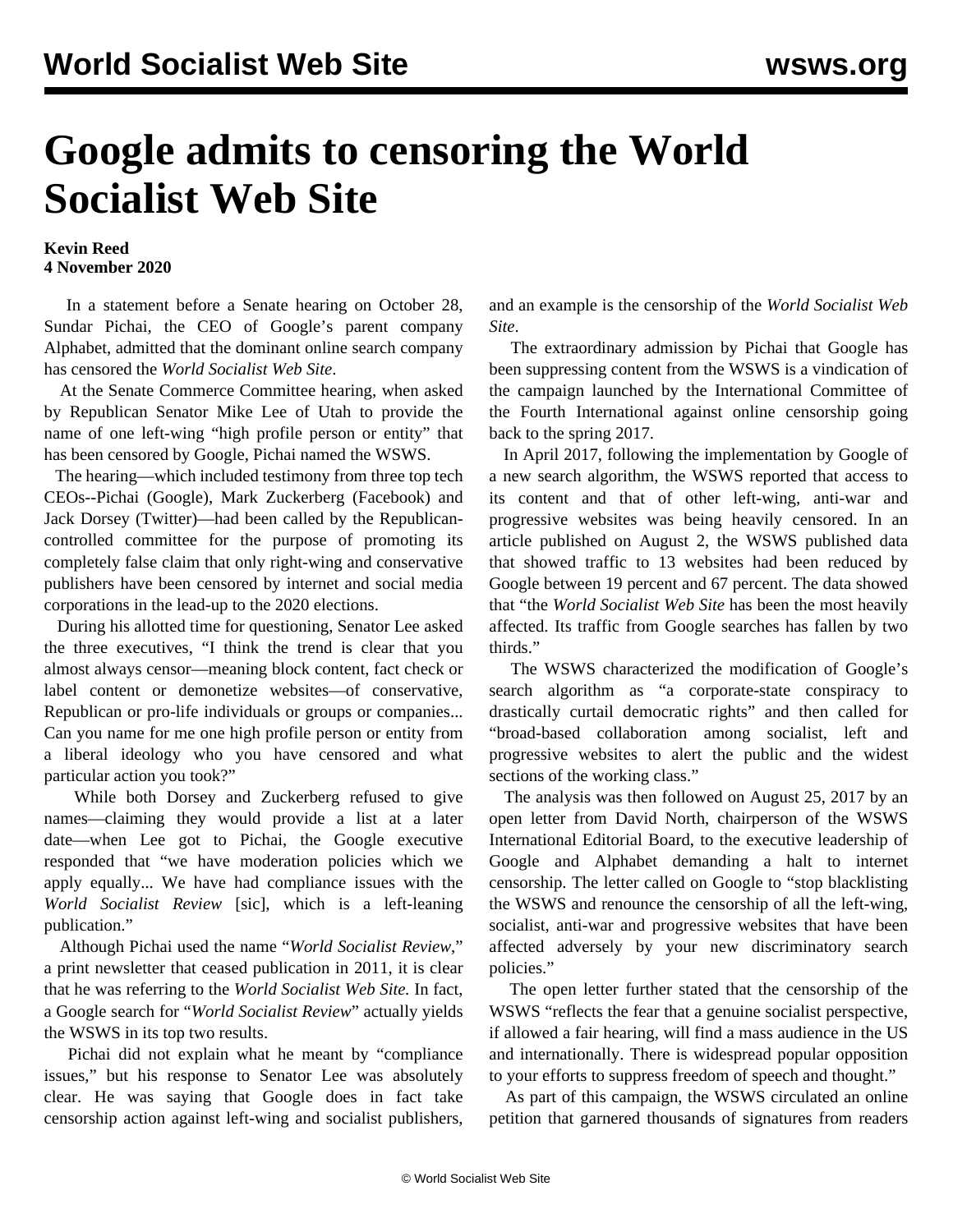## **Google admits to censoring the World Socialist Web Site**

## **Kevin Reed 4 November 2020**

 In a statement before a Senate hearing on October 28, Sundar Pichai, the CEO of Google's parent company Alphabet, admitted that the dominant online search company has censored the *World Socialist Web Site*.

 At the Senate Commerce Committee hearing, when asked by Republican Senator Mike Lee of Utah to provide the name of one left-wing "high profile person or entity" that has been censored by Google, Pichai named the WSWS.

 The hearing—which included testimony from three top tech CEOs--Pichai (Google), Mark Zuckerberg (Facebook) and Jack Dorsey (Twitter)—had been called by the Republicancontrolled committee for the purpose of promoting its completely false claim that only right-wing and conservative publishers have been censored by internet and social media corporations in the lead-up to the 2020 elections.

 During his allotted time for questioning, Senator Lee asked the three executives, "I think the trend is clear that you almost always censor—meaning block content, fact check or label content or demonetize websites—of conservative, Republican or pro-life individuals or groups or companies... Can you name for me one high profile person or entity from a liberal ideology who you have censored and what particular action you took?"

 While both Dorsey and Zuckerberg refused to give names—claiming they would provide a list at a later date—when Lee got to Pichai, the Google executive responded that "we have moderation policies which we apply equally... We have had compliance issues with the *World Socialist Review* [sic], which is a left-leaning publication."

 Although Pichai used the name "*World Socialist Review*," a print newsletter that ceased publication in 2011, it is clear that he was referring to the *World Socialist Web Site.* In fact, a Google search for "*World Socialist Review*" actually yields the WSWS in its top two results.

 Pichai did not explain what he meant by "compliance issues," but his response to Senator Lee was absolutely clear. He was saying that Google does in fact take censorship action against left-wing and socialist publishers, and an example is the censorship of the *World Socialist Web Site*.

 The extraordinary admission by Pichai that Google has been suppressing content from the WSWS is a vindication of the campaign launched by the International Committee of the Fourth International against online censorship going back to the spring 2017.

 In April 2017, following the implementation by Google of a new search algorithm, the WSWS reported that access to its content and that of other left-wing, anti-war and progressive websites was being heavily censored. In an [article published on August 2](/en/articles/2017/08/02/pers-a02.html), the WSWS published data that showed traffic to 13 websites had been reduced by Google between 19 percent and 67 percent. The data showed that "the *World Socialist Web Site* has been the most heavily affected. Its traffic from Google searches has fallen by two thirds."

 The WSWS characterized the modification of Google's search algorithm as "a corporate-state conspiracy to drastically curtail democratic rights" and then called for "broad-based collaboration among socialist, left and progressive websites to alert the public and the widest sections of the working class."

 The analysis was then followed on August 25, 2017 by an open letter from David North, chairperson of the WSWS International Editorial Board, to the executive leadership of Google and Alphabet demanding a halt to internet censorship. The letter called on Google to "stop blacklisting the WSWS and renounce the censorship of all the left-wing, socialist, anti-war and progressive websites that have been affected adversely by your new discriminatory search policies."

 The open letter further stated that the censorship of the WSWS "reflects the fear that a genuine socialist perspective, if allowed a fair hearing, will find a mass audience in the US and internationally. There is widespread popular opposition to your efforts to suppress freedom of speech and thought."

 As part of this campaign, the WSWS circulated an online petition that garnered thousands of signatures from readers